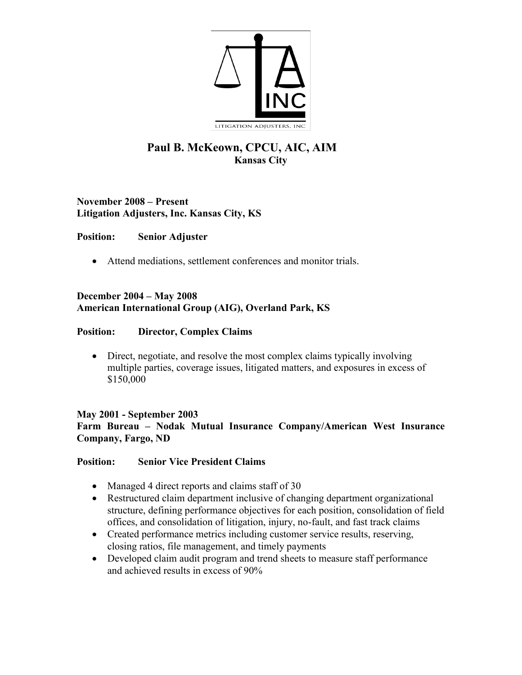

# **Paul B. McKeown, CPCU, AIC, AIM Kansas City**

**November 2008 – Present Litigation Adjusters, Inc. Kansas City, KS**

## **Position: Senior Adjuster**

• Attend mediations, settlement conferences and monitor trials.

## **December 2004 – May 2008 American International Group (AIG), Overland Park, KS**

## **Position: Director, Complex Claims**

• Direct, negotiate, and resolve the most complex claims typically involving multiple parties, coverage issues, litigated matters, and exposures in excess of \$150,000

## **May 2001 - September 2003 Farm Bureau – Nodak Mutual Insurance Company/American West Insurance Company, Fargo, ND**

## **Position: Senior Vice President Claims**

- Managed 4 direct reports and claims staff of 30
- Restructured claim department inclusive of changing department organizational structure, defining performance objectives for each position, consolidation of field offices, and consolidation of litigation, injury, no-fault, and fast track claims
- Created performance metrics including customer service results, reserving, closing ratios, file management, and timely payments
- Developed claim audit program and trend sheets to measure staff performance and achieved results in excess of 90%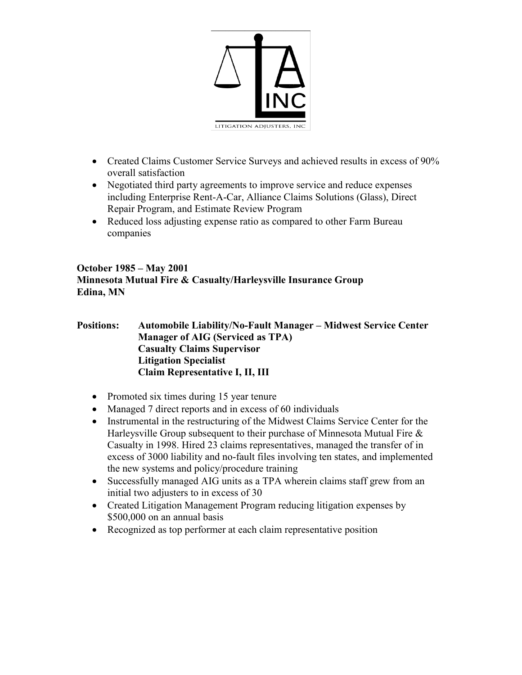

- Created Claims Customer Service Surveys and achieved results in excess of 90% overall satisfaction
- Negotiated third party agreements to improve service and reduce expenses including Enterprise Rent-A-Car, Alliance Claims Solutions (Glass), Direct Repair Program, and Estimate Review Program
- Reduced loss adjusting expense ratio as compared to other Farm Bureau companies

#### **October 1985 – May 2001 Minnesota Mutual Fire & Casualty/Harleysville Insurance Group Edina, MN**

#### **Positions: Automobile Liability/No-Fault Manager – Midwest Service Center Manager of AIG (Serviced as TPA) Casualty Claims Supervisor Litigation Specialist Claim Representative I, II, III**

- Promoted six times during 15 year tenure
- Managed 7 direct reports and in excess of 60 individuals
- Instrumental in the restructuring of the Midwest Claims Service Center for the Harleysville Group subsequent to their purchase of Minnesota Mutual Fire & Casualty in 1998. Hired 23 claims representatives, managed the transfer of in excess of 3000 liability and no-fault files involving ten states, and implemented the new systems and policy/procedure training
- Successfully managed AIG units as a TPA wherein claims staff grew from an initial two adjusters to in excess of 30
- Created Litigation Management Program reducing litigation expenses by \$500,000 on an annual basis
- Recognized as top performer at each claim representative position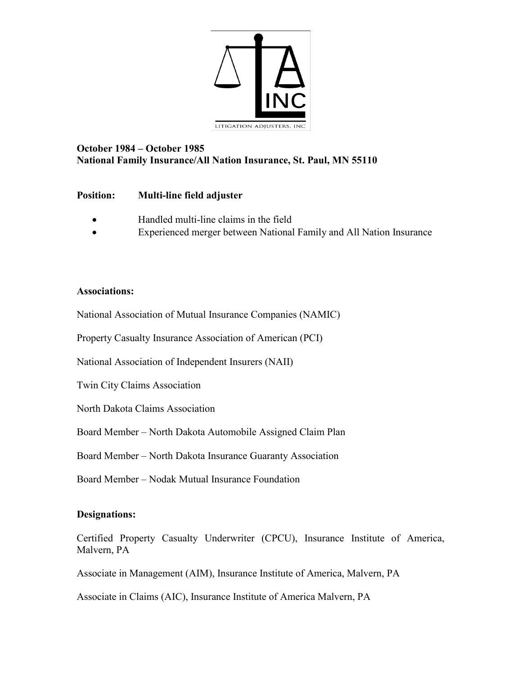

## **October 1984 – October 1985 National Family Insurance/All Nation Insurance, St. Paul, MN 55110**

## **Position: Multi-line field adjuster**

- Handled multi-line claims in the field
- Experienced merger between National Family and All Nation Insurance

#### **Associations:**

National Association of Mutual Insurance Companies (NAMIC)

Property Casualty Insurance Association of American (PCI)

National Association of Independent Insurers (NAII)

Twin City Claims Association

North Dakota Claims Association

Board Member – North Dakota Automobile Assigned Claim Plan

Board Member – North Dakota Insurance Guaranty Association

Board Member – Nodak Mutual Insurance Foundation

## **Designations:**

Certified Property Casualty Underwriter (CPCU), Insurance Institute of America, Malvern, PA

Associate in Management (AIM), Insurance Institute of America, Malvern, PA

Associate in Claims (AIC), Insurance Institute of America Malvern, PA